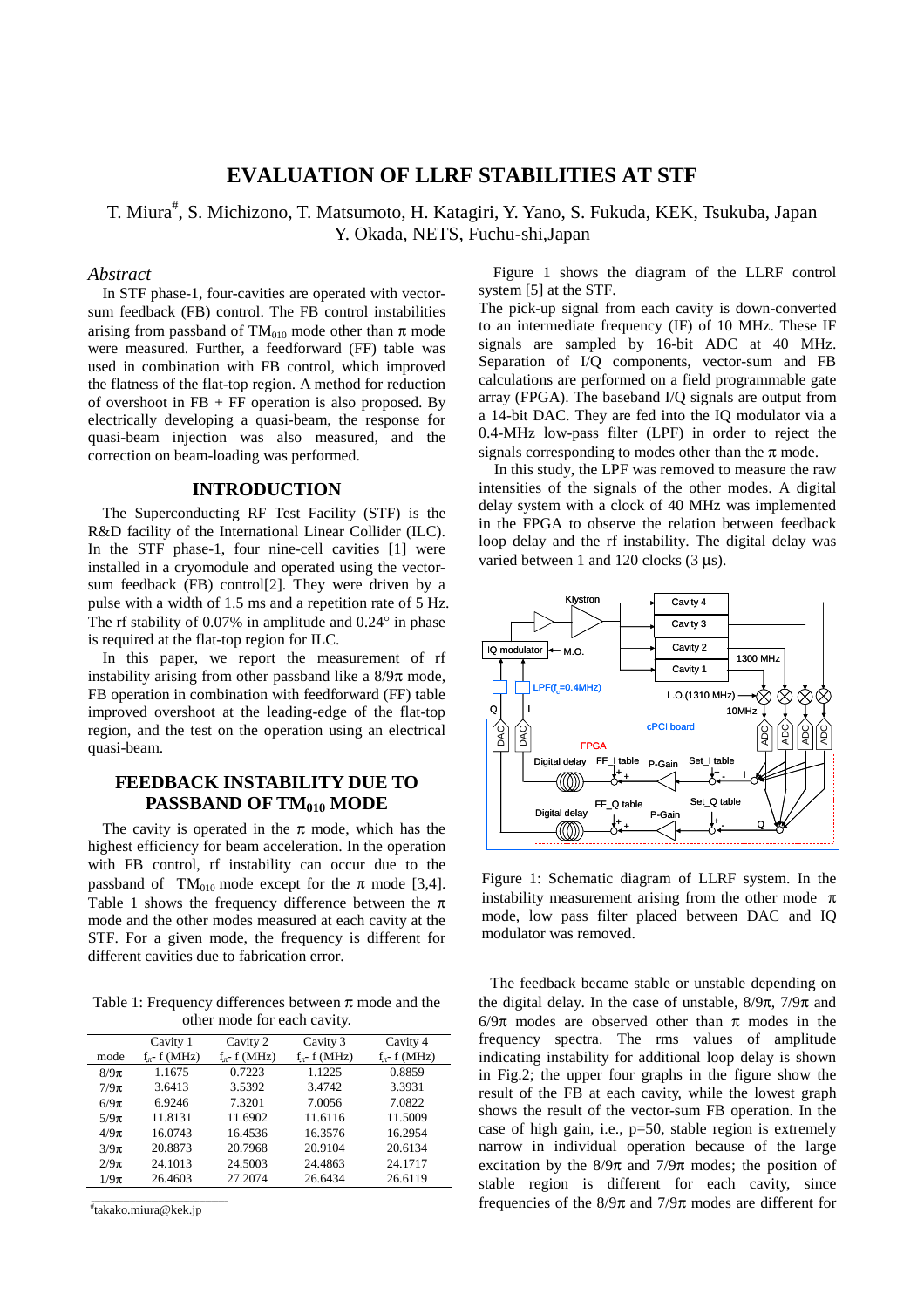# **EVALUATION OF LLRF STABILITIES AT STF**

T. Miura<sup>#</sup>, S. Michizono, T. Matsumoto, H. Katagiri, Y. Yano, S. Fukuda, KEK, Tsukuba, Japan Y. Okada, NETS, Fuchu-shi,Japan

## *Abstract*

In STF phase-1, four-cavities are operated with vectorsum feedback (FB) control. The FB control instabilities arising from passband of TM<sub>010</sub> mode other than  $\pi$  mode were measured. Further, a feedforward (FF) table was used in combination with FB control, which improved the flatness of the flat-top region. A method for reduction of overshoot in  $FB + FF$  operation is also proposed. By electrically developing a quasi-beam, the response for quasi-beam injection was also measured, and the correction on beam-loading was performed.

#### **INTRODUCTION**

The Superconducting RF Test Facility (STF) is the R&D facility of the International Linear Collider (ILC). In the STF phase-1, four nine-cell cavities [1] were installed in a cryomodule and operated using the vectorsum feedback (FB) control[2]. They were driven by a pulse with a width of 1.5 ms and a repetition rate of 5 Hz. The rf stability of 0.07% in amplitude and 0.24° in phase is required at the flat-top region for ILC.

In this paper, we report the measurement of rf instability arising from other passband like a  $8/9\pi$  mode, FB operation in combination with feedforward (FF) table improved overshoot at the leading-edge of the flat-top region, and the test on the operation using an electrical quasi-beam.

# **FEEDBACK INSTABILITY DUE TO PASSBAND OF TM<sub>010</sub> MODE**

The cavity is operated in the  $\pi$  mode, which has the highest efficiency for beam acceleration. In the operation with FB control, rf instability can occur due to the passband of TM<sub>010</sub> mode except for the  $\pi$  mode [3,4]. Table 1 shows the frequency difference between the  $\pi$ mode and the other modes measured at each cavity at the STF. For a given mode, the frequency is different for different cavities due to fabrication error.

Table 1: Frequency differences between  $\pi$  mode and the other mode for each cavity.

|          | Cavity 1            | Cavity 2            | Cavity 3            | Cavity 4            |
|----------|---------------------|---------------------|---------------------|---------------------|
| mode     | $f_{\pi^-}$ f (MHz) | $f_{\pi^-}$ f (MHz) | $f_{\pi^-}$ f (MHz) | $f_{\pi^-}$ f (MHz) |
| $8/9\pi$ | 1.1675              | 0.7223              | 1.1225              | 0.8859              |
| $7/9\pi$ | 3.6413              | 3.5392              | 3.4742              | 3.3931              |
| $6/9\pi$ | 6.9246              | 7.3201              | 7.0056              | 7.0822              |
| $5/9\pi$ | 11.8131             | 11.6902             | 11.6116             | 11.5009             |
| $4/9\pi$ | 16.0743             | 16.4536             | 16.3576             | 16.2954             |
| $3/9\pi$ | 20.8873             | 20.7968             | 20.9104             | 20.6134             |
| $2/9\pi$ | 24.1013             | 24.5003             | 24.4863             | 24.1717             |
| $1/9\pi$ | 26.4603             | 27.2074             | 26.6434             | 26.6119             |
|          |                     |                     |                     |                     |

\_\_\_\_\_\_\_\_\_\_\_\_\_\_\_\_\_\_\_\_\_\_\_\_\_\_\_\_\_\_\_\_\_\_\_\_\_\_\_\_\_\_\_ # takako.miura@kek.jp

Figure 1 shows the diagram of the LLRF control system [5] at the STF.

The pick-up signal from each cavity is down-converted to an intermediate frequency (IF) of 10 MHz. These IF signals are sampled by 16-bit ADC at 40 MHz. Separation of I/Q components, vector-sum and FB calculations are performed on a field programmable gate array (FPGA). The baseband I/Q signals are output from a 14-bit DAC. They are fed into the IQ modulator via a 0.4-MHz low-pass filter (LPF) in order to reject the signals corresponding to modes other than the  $\pi$  mode.

In this study, the LPF was removed to measure the raw intensities of the signals of the other modes. A digital delay system with a clock of 40 MHz was implemented in the FPGA to observe the relation between feedback loop delay and the rf instability. The digital delay was varied between 1 and 120 clocks (3 μs).



Figure 1: Schematic diagram of LLRF system. In the instability measurement arising from the other mode  $\pi$ mode, low pass filter placed between DAC and IQ modulator was removed.

 The feedback became stable or unstable depending on the digital delay. In the case of unstable,  $8/9\pi$ ,  $7/9\pi$  and 6/9π modes are observed other than π modes in the frequency spectra. The rms values of amplitude indicating instability for additional loop delay is shown in Fig.2; the upper four graphs in the figure show the result of the FB at each cavity, while the lowest graph shows the result of the vector-sum FB operation. In the case of high gain, i.e., p=50, stable region is extremely narrow in individual operation because of the large excitation by the  $8/9\pi$  and  $7/9\pi$  modes; the position of stable region is different for each cavity, since frequencies of the  $8/9\pi$  and  $7/9\pi$  modes are different for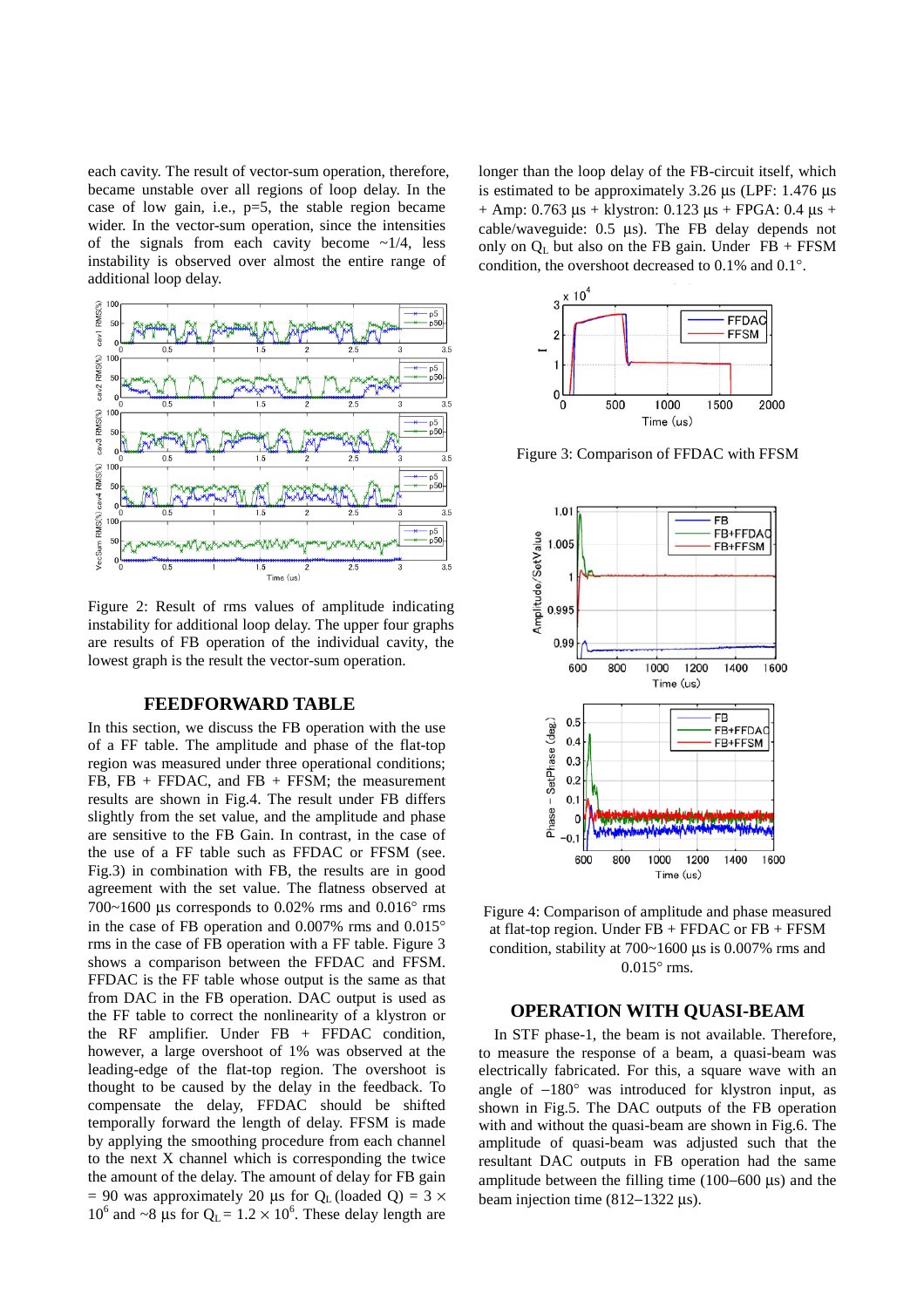each cavity. The result of vector-sum operation, therefore, became unstable over all regions of loop delay. In the case of low gain, i.e., p=5, the stable region became wider. In the vector-sum operation, since the intensities of the signals from each cavity become  $\sim 1/4$ , less instability is observed over almost the entire range of additional loop delay.



Figure 2: Result of rms values of amplitude indicating instability for additional loop delay. The upper four graphs are results of FB operation of the individual cavity, the lowest graph is the result the vector-sum operation.

### **FEEDFORWARD TABLE**

In this section, we discuss the FB operation with the use of a FF table. The amplitude and phase of the flat-top region was measured under three operational conditions;  $FB, FB + FFDAC, and FB + FFSM; the measurement$ results are shown in Fig.4. The result under FB differs slightly from the set value, and the amplitude and phase are sensitive to the FB Gain. In contrast, in the case of the use of a FF table such as FFDAC or FFSM (see. Fig.3) in combination with FB, the results are in good agreement with the set value. The flatness observed at 700~1600 μs corresponds to 0.02% rms and 0.016° rms in the case of FB operation and 0.007% rms and 0.015° rms in the case of FB operation with a FF table. Figure 3 shows a comparison between the FFDAC and FFSM. FFDAC is the FF table whose output is the same as that from DAC in the FB operation. DAC output is used as the FF table to correct the nonlinearity of a klystron or the RF amplifier. Under  $FB + FPDAC$  condition, however, a large overshoot of 1% was observed at the leading-edge of the flat-top region. The overshoot is thought to be caused by the delay in the feedback. To compensate the delay, FFDAC should be shifted temporally forward the length of delay. FFSM is made by applying the smoothing procedure from each channel to the next X channel which is corresponding the twice the amount of the delay. The amount of delay for FB gain = 90 was approximately 20 µs for  $Q_L$  (loaded Q) = 3  $\times$ 10<sup>6</sup> and ~8 μs for  $Q_L = 1.2 \times 10^6$ . These delay length are

longer than the loop delay of the FB-circuit itself, which is estimated to be approximately 3.26 μs (LPF: 1.476 μs + Amp: 0.763 μs + klystron: 0.123 μs + FPGA: 0.4 μs + cable/waveguide: 0.5 μs). The FB delay depends not only on  $Q_L$  but also on the FB gain. Under FB + FFSM condition, the overshoot decreased to 0.1% and 0.1°.



Figure 3: Comparison of FFDAC with FFSM



Figure 4: Comparison of amplitude and phase measured at flat-top region. Under  $FB + FFDAC$  or  $FB + FFSM$ condition, stability at 700~1600 μs is 0.007% rms and  $0.015^{\circ}$  rms.

### **OPERATION WITH QUASI-BEAM**

In STF phase-1, the beam is not available. Therefore, to measure the response of a beam, a quasi-beam was electrically fabricated. For this, a square wave with an angle of −180° was introduced for klystron input, as shown in Fig.5. The DAC outputs of the FB operation with and without the quasi-beam are shown in Fig.6. The amplitude of quasi-beam was adjusted such that the resultant DAC outputs in FB operation had the same amplitude between the filling time (100−600 μs) and the beam injection time (812−1322 μs).